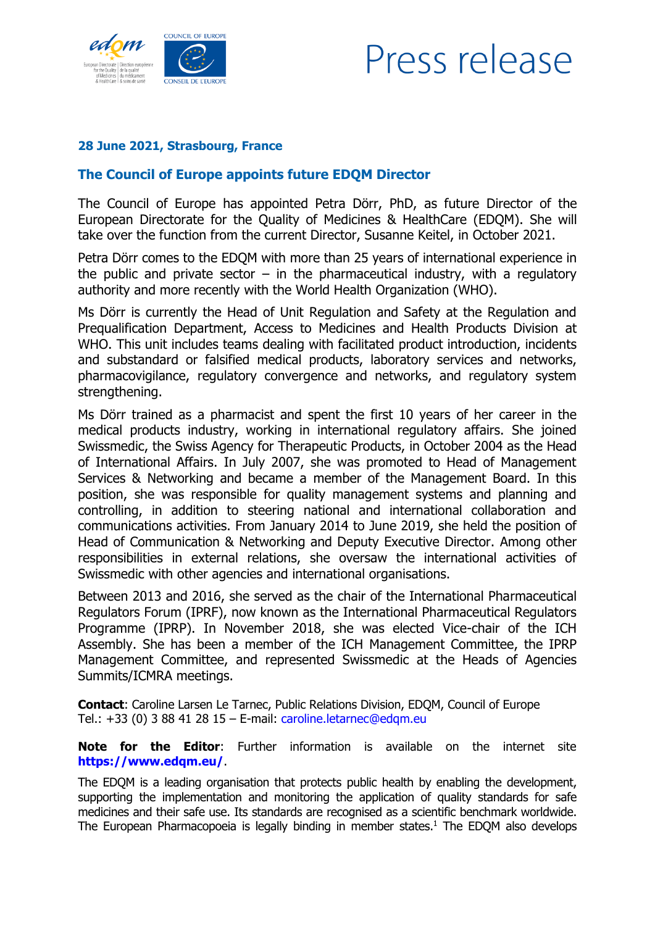



## **28 June 2021, Strasbourg, France**

## **The Council of Europe appoints future EDQM Director**

The Council of Europe has appointed Petra Dörr, PhD, as future Director of the European Directorate for the Quality of Medicines & HealthCare (EDQM). She will take over the function from the current Director, Susanne Keitel, in October 2021.

Petra Dörr comes to the EDQM with more than 25 years of international experience in the public and private sector – in the pharmaceutical industry, with a regulatory authority and more recently with the World Health Organization (WHO).

Ms Dörr is currently the Head of Unit Regulation and Safety at the Regulation and Prequalification Department, Access to Medicines and Health Products Division at WHO. This unit includes teams dealing with facilitated product introduction, incidents and substandard or falsified medical products, laboratory services and networks, pharmacovigilance, regulatory convergence and networks, and regulatory system strengthening.

Ms Dörr trained as a pharmacist and spent the first 10 years of her career in the medical products industry, working in international regulatory affairs. She joined Swissmedic, the Swiss Agency for Therapeutic Products, in October 2004 as the Head of International Affairs. In July 2007, she was promoted to Head of Management Services & Networking and became a member of the Management Board. In this position, she was responsible for quality management systems and planning and controlling, in addition to steering national and international collaboration and communications activities. From January 2014 to June 2019, she held the position of Head of Communication & Networking and Deputy Executive Director. Among other responsibilities in external relations, she oversaw the international activities of Swissmedic with other agencies and international organisations.

Between 2013 and 2016, she served as the chair of the International Pharmaceutical Regulators Forum (IPRF), now known as the International Pharmaceutical Regulators Programme (IPRP). In November 2018, she was elected Vice-chair of the ICH Assembly. She has been a member of the ICH Management Committee, the IPRP Management Committee, and represented Swissmedic at the Heads of Agencies Summits/ICMRA meetings.

**Contact**: Caroline Larsen Le Tarnec, Public Relations Division, EDQM, Council of Europe Tel.: +33 (0) 3 88 41 28 15 – E-mail: [caroline.letarnec@edqm.eu](mailto:caroline.letarnec@edqm.eu)

**Note for the Editor**: Further information is available on the internet site **<https://www.edqm.eu/>**.

The EDQM is a leading organisation that protects public health by enabling the development, supporting the implementation and monitoring the application of quality standards for safe medicines and their safe use. Its standards are recognised as a scientific benchmark worldwide. The European Pharmacopoeia is legally binding in member states. $<sup>1</sup>$  The EDQM also develops</sup>